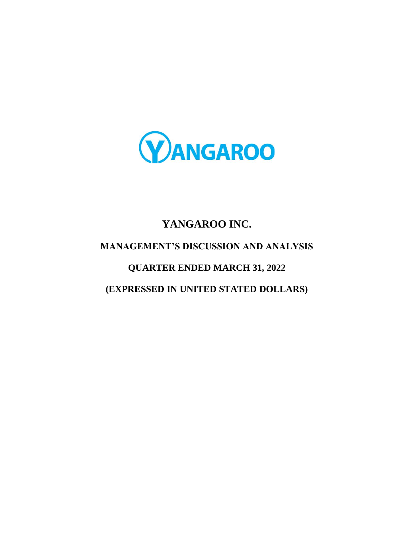

# **YANGAROO INC. MANAGEMENT'S DISCUSSION AND ANALYSIS QUARTER ENDED MARCH 31, 2022 (EXPRESSED IN UNITED STATED DOLLARS)**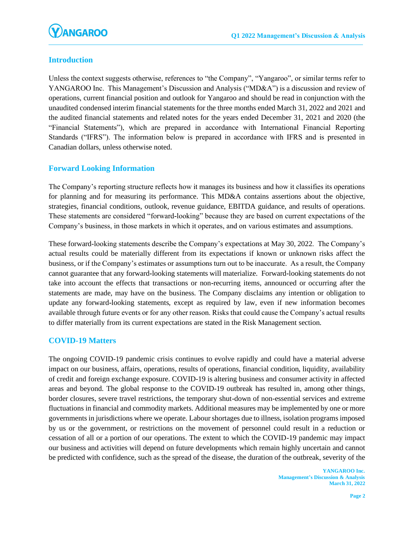

# **Introduction**

Unless the context suggests otherwise, references to "the Company", "Yangaroo", or similar terms refer to YANGAROO Inc. This Management's Discussion and Analysis ("MD&A") is a discussion and review of operations, current financial position and outlook for Yangaroo and should be read in conjunction with the unaudited condensed interim financial statements for the three months ended March 31, 2022 and 2021 and the audited financial statements and related notes for the years ended December 31, 2021 and 2020 (the "Financial Statements"), which are prepared in accordance with International Financial Reporting Standards ("IFRS"). The information below is prepared in accordance with IFRS and is presented in Canadian dollars, unless otherwise noted.

## **Forward Looking Information**

The Company's reporting structure reflects how it manages its business and how it classifies its operations for planning and for measuring its performance. This MD&A contains assertions about the objective, strategies, financial conditions, outlook, revenue guidance, EBITDA guidance, and results of operations. These statements are considered "forward**-**looking" because they are based on current expectations of the Company's business, in those markets in which it operates, and on various estimates and assumptions.

These forward-looking statements describe the Company's expectations at May 30, 2022. The Company's actual results could be materially different from its expectations if known or unknown risks affect the business, or if the Company's estimates or assumptions turn out to be inaccurate. As a result, the Company cannot guarantee that any forward**-**looking statements will materialize. Forward**-**looking statements do not take into account the effects that transactions or non**-**recurring items, announced or occurring after the statements are made, may have on the business. The Company disclaims any intention or obligation to update any forward**-**looking statements, except as required by law, even if new information becomes available through future events or for any other reason. Risks that could cause the Company's actual results to differ materially from its current expectations are stated in the Risk Management section.

#### **COVID-19 Matters**

The ongoing COVID-19 pandemic crisis continues to evolve rapidly and could have a material adverse impact on our business, affairs, operations, results of operations, financial condition, liquidity, availability of credit and foreign exchange exposure. COVID-19 is altering business and consumer activity in affected areas and beyond. The global response to the COVID-19 outbreak has resulted in, among other things, border closures, severe travel restrictions, the temporary shut-down of non-essential services and extreme fluctuations in financial and commodity markets. Additional measures may be implemented by one or more governments in jurisdictions where we operate. Labour shortages due to illness, isolation programs imposed by us or the government, or restrictions on the movement of personnel could result in a reduction or cessation of all or a portion of our operations. The extent to which the COVID-19 pandemic may impact our business and activities will depend on future developments which remain highly uncertain and cannot be predicted with confidence, such as the spread of the disease, the duration of the outbreak, severity of the

> **YANGAROO Inc. Management's Discussion & Analysis March 31, 2022**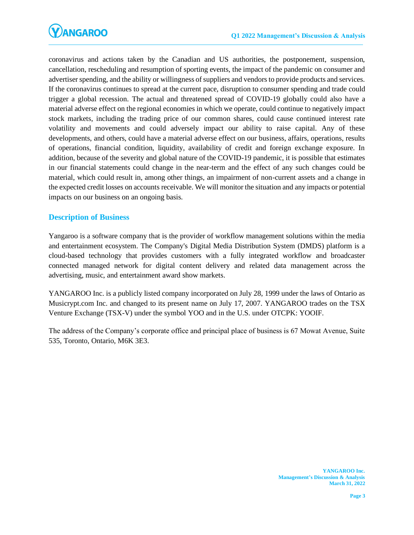coronavirus and actions taken by the Canadian and US authorities, the postponement, suspension, cancellation, rescheduling and resumption of sporting events, the impact of the pandemic on consumer and advertiser spending, and the ability or willingness of suppliers and vendors to provide products and services. If the coronavirus continues to spread at the current pace, disruption to consumer spending and trade could trigger a global recession. The actual and threatened spread of COVID-19 globally could also have a material adverse effect on the regional economies in which we operate, could continue to negatively impact stock markets, including the trading price of our common shares, could cause continued interest rate volatility and movements and could adversely impact our ability to raise capital. Any of these developments, and others, could have a material adverse effect on our business, affairs, operations, results of operations, financial condition, liquidity, availability of credit and foreign exchange exposure. In addition, because of the severity and global nature of the COVID-19 pandemic, it is possible that estimates in our financial statements could change in the near-term and the effect of any such changes could be material, which could result in, among other things, an impairment of non-current assets and a change in the expected credit losses on accounts receivable. We will monitor the situation and any impacts or potential impacts on our business on an ongoing basis.

## **Description of Business**

Yangaroo is a software company that is the provider of workflow management solutions within the media and entertainment ecosystem. The Company's Digital Media Distribution System (DMDS) platform is a cloud-based technology that provides customers with a fully integrated workflow and broadcaster connected managed network for digital content delivery and related data management across the advertising, music, and entertainment award show markets.

YANGAROO Inc. is a publicly listed company incorporated on July 28, 1999 under the laws of Ontario as Musicrypt.com Inc. and changed to its present name on July 17, 2007. YANGAROO trades on the TSX Venture Exchange (TSX-V) under the symbol YOO and in the U.S. under OTCPK: YOOIF.

The address of the Company's corporate office and principal place of business is 67 Mowat Avenue, Suite 535, Toronto, Ontario, M6K 3E3.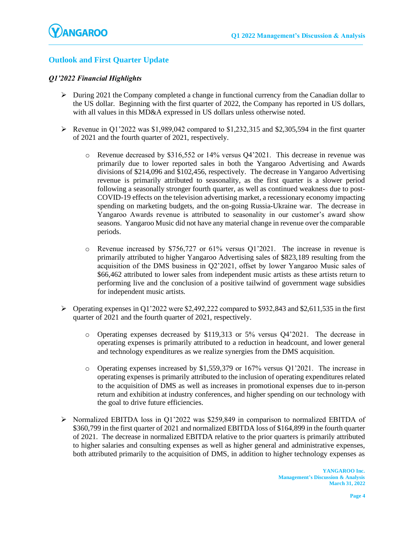# **Outlook and First Quarter Update**

## *Q1'2022 Financial Highlights*

- $\triangleright$  During 2021 the Company completed a change in functional currency from the Canadian dollar to the US dollar. Beginning with the first quarter of 2022, the Company has reported in US dollars, with all values in this MD&A expressed in US dollars unless otherwise noted.
- $\triangleright$  Revenue in Q1'2022 was \$1,989,042 compared to \$1,232,315 and \$2,305,594 in the first quarter of 2021 and the fourth quarter of 2021, respectively.
	- o Revenue decreased by \$316,552 or 14% versus Q4'2021. This decrease in revenue was primarily due to lower reported sales in both the Yangaroo Advertising and Awards divisions of \$214,096 and \$102,456, respectively. The decrease in Yangaroo Advertising revenue is primarily attributed to seasonality, as the first quarter is a slower period following a seasonally stronger fourth quarter, as well as continued weakness due to post-COVID-19 effects on the television advertising market, a recessionary economy impacting spending on marketing budgets, and the on-going Russia-Ukraine war. The decrease in Yangaroo Awards revenue is attributed to seasonality in our customer's award show seasons. Yangaroo Music did not have any material change in revenue over the comparable periods.
	- o Revenue increased by \$756,727 or 61% versus Q1'2021. The increase in revenue is primarily attributed to higher Yangaroo Advertising sales of \$823,189 resulting from the acquisition of the DMS business in Q2'2021, offset by lower Yangaroo Music sales of \$66,462 attributed to lower sales from independent music artists as these artists return to performing live and the conclusion of a positive tailwind of government wage subsidies for independent music artists.
- ➢ Operating expenses in Q1'2022 were \$2,492,222 compared to \$932,843 and \$2,611,535 in the first quarter of 2021 and the fourth quarter of 2021, respectively.
	- o Operating expenses decreased by \$119,313 or 5% versus Q4'2021. The decrease in operating expenses is primarily attributed to a reduction in headcount, and lower general and technology expenditures as we realize synergies from the DMS acquisition.
	- o Operating expenses increased by \$1,559,379 or 167% versus Q1'2021. The increase in operating expenses is primarily attributed to the inclusion of operating expenditures related to the acquisition of DMS as well as increases in promotional expenses due to in-person return and exhibition at industry conferences, and higher spending on our technology with the goal to drive future efficiencies.
- ➢ Normalized EBITDA loss in Q1'2022 was \$259,849 in comparison to normalized EBITDA of \$360,799 in the first quarter of 2021 and normalized EBITDA loss of \$164,899 in the fourth quarter of 2021. The decrease in normalized EBITDA relative to the prior quarters is primarily attributed to higher salaries and consulting expenses as well as higher general and administrative expenses, both attributed primarily to the acquisition of DMS, in addition to higher technology expenses as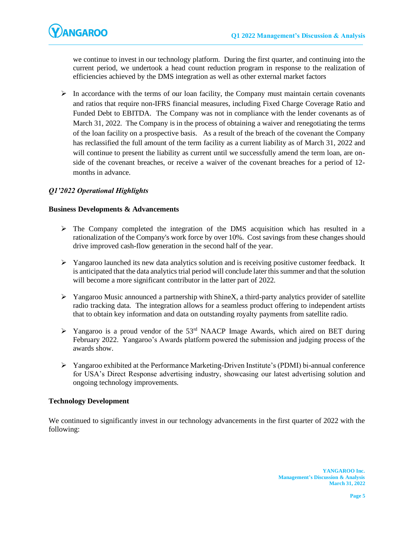

we continue to invest in our technology platform. During the first quarter, and continuing into the current period, we undertook a head count reduction program in response to the realization of efficiencies achieved by the DMS integration as well as other external market factors

 $\triangleright$  In accordance with the terms of our loan facility, the Company must maintain certain covenants and ratios that require non-IFRS financial measures, including Fixed Charge Coverage Ratio and Funded Debt to EBITDA. The Company was not in compliance with the lender covenants as of March 31, 2022. The Company is in the process of obtaining a waiver and renegotiating the terms of the loan facility on a prospective basis. As a result of the breach of the covenant the Company has reclassified the full amount of the term facility as a current liability as of March 31, 2022 and will continue to present the liability as current until we successfully amend the term loan, are onside of the covenant breaches, or receive a waiver of the covenant breaches for a period of 12 months in advance.

## *Q1'2022 Operational Highlights*

#### **Business Developments & Advancements**

- $\triangleright$  The Company completed the integration of the DMS acquisition which has resulted in a rationalization of the Company's work force by over 10%. Cost savings from these changes should drive improved cash-flow generation in the second half of the year.
- $\triangleright$  Yangaroo launched its new data analytics solution and is receiving positive customer feedback. It is anticipated that the data analytics trial period will conclude later this summer and that the solution will become a more significant contributor in the latter part of 2022.
- ➢ Yangaroo Music announced a partnership with ShineX, a third-party analytics provider of satellite radio tracking data. The integration allows for a seamless product offering to independent artists that to obtain key information and data on outstanding royalty payments from satellite radio.
- $\triangleright$  Yangaroo is a proud vendor of the 53<sup>rd</sup> NAACP Image Awards, which aired on BET during February 2022. Yangaroo's Awards platform powered the submission and judging process of the awards show.
- $\triangleright$  Yangaroo exhibited at the Performance Marketing-Driven Institute's (PDMI) bi-annual conference for USA's Direct Response advertising industry, showcasing our latest advertising solution and ongoing technology improvements.

#### **Technology Development**

We continued to significantly invest in our technology advancements in the first quarter of 2022 with the following: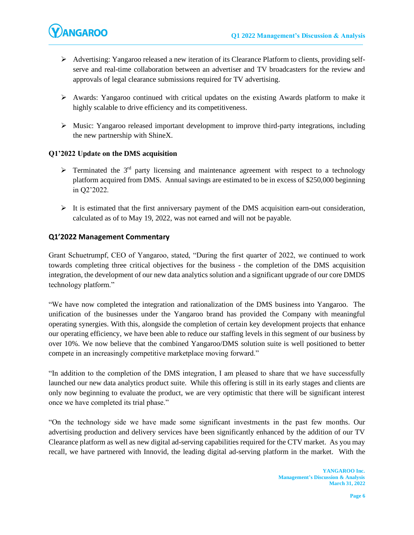

- ➢ Advertising: Yangaroo released a new iteration of its Clearance Platform to clients, providing selfserve and real-time collaboration between an advertiser and TV broadcasters for the review and approvals of legal clearance submissions required for TV advertising.
- ➢ Awards: Yangaroo continued with critical updates on the existing Awards platform to make it highly scalable to drive efficiency and its competitiveness.
- ➢ Music: Yangaroo released important development to improve third-party integrations, including the new partnership with ShineX.

## **Q1'2022 Update on the DMS acquisition**

- $\triangleright$  Terminated the 3<sup>rd</sup> party licensing and maintenance agreement with respect to a technology platform acquired from DMS. Annual savings are estimated to be in excess of \$250,000 beginning in Q2'2022.
- $\triangleright$  It is estimated that the first anniversary payment of the DMS acquisition earn-out consideration, calculated as of to May 19, 2022, was not earned and will not be payable.

## **Q1'2022 Management Commentary**

Grant Schuetrumpf, CEO of Yangaroo, stated, "During the first quarter of 2022, we continued to work towards completing three critical objectives for the business - the completion of the DMS acquisition integration, the development of our new data analytics solution and a significant upgrade of our core DMDS technology platform."

"We have now completed the integration and rationalization of the DMS business into Yangaroo. The unification of the businesses under the Yangaroo brand has provided the Company with meaningful operating synergies. With this, alongside the completion of certain key development projects that enhance our operating efficiency, we have been able to reduce our staffing levels in this segment of our business by over 10%. We now believe that the combined Yangaroo/DMS solution suite is well positioned to better compete in an increasingly competitive marketplace moving forward."

"In addition to the completion of the DMS integration, I am pleased to share that we have successfully launched our new data analytics product suite. While this offering is still in its early stages and clients are only now beginning to evaluate the product, we are very optimistic that there will be significant interest once we have completed its trial phase."

"On the technology side we have made some significant investments in the past few months. Our advertising production and delivery services have been significantly enhanced by the addition of our TV Clearance platform as well as new digital ad-serving capabilities required for the CTV market. As you may recall, we have partnered with Innovid, the leading digital ad-serving platform in the market. With the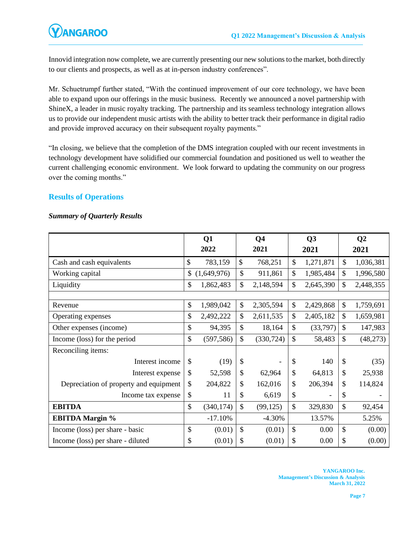

Innovid integration now complete, we are currently presenting our new solutions to the market, both directly to our clients and prospects, as well as at in-person industry conferences".

Mr. Schuetrumpf further stated, "With the continued improvement of our core technology, we have been able to expand upon our offerings in the music business. Recently we announced a novel partnership with ShineX, a leader in music royalty tracking. The partnership and its seamless technology integration allows us to provide our independent music artists with the ability to better track their performance in digital radio and provide improved accuracy on their subsequent royalty payments."

"In closing, we believe that the completion of the DMS integration coupled with our recent investments in technology development have solidified our commercial foundation and positioned us well to weather the current challenging economic environment. We look forward to updating the community on our progress over the coming months."

## **Results of Operations**

#### *Summary of Quarterly Results*

|                                        |              | Q1          |               | Q <sub>4</sub> |               | Q3        | Q <sub>2</sub> |           |
|----------------------------------------|--------------|-------------|---------------|----------------|---------------|-----------|----------------|-----------|
|                                        |              | 2022        |               | 2021           |               | 2021      |                | 2021      |
| Cash and cash equivalents              | $\mathbb{S}$ | 783,159     | \$            | 768,251        | $\mathcal{S}$ | 1,271,871 | \$             | 1,036,381 |
| Working capital                        | \$           | (1,649,976) | \$            | 911,861        | \$            | 1,985,484 | $\mathbb{S}$   | 1,996,580 |
| Liquidity                              | \$           | 1,862,483   | \$            | 2,148,594      | \$            | 2,645,390 | $\mathcal{S}$  | 2,448,355 |
|                                        |              |             |               |                |               |           |                |           |
| Revenue                                | \$           | 1,989,042   | \$            | 2,305,594      | \$            | 2,429,868 | \$             | 1,759,691 |
| Operating expenses                     | \$           | 2,492,222   | \$            | 2,611,535      | \$            | 2,405,182 | \$             | 1,659,981 |
| Other expenses (income)                | \$           | 94,395      | \$            | 18,164         | $\mathsf{\$}$ | (33,797)  | \$             | 147,983   |
| Income (loss) for the period           | \$           | (597, 586)  | \$            | (330, 724)     | $\mathsf{\$}$ | 58,483    | \$             | (48, 273) |
| Reconciling items:                     |              |             |               |                |               |           |                |           |
| Interest income                        | \$           | (19)        | \$            |                | \$            | 140       | \$             | (35)      |
| Interest expense                       | \$           | 52,598      | \$            | 62,964         | \$            | 64,813    | \$             | 25,938    |
| Depreciation of property and equipment | \$           | 204,822     | \$            | 162,016        | \$            | 206,394   | \$             | 114,824   |
| Income tax expense                     | \$           | 11          | \$            | 6,619          | \$            |           | \$             |           |
| <b>EBITDA</b>                          | \$           | (340, 174)  | $\mathcal{S}$ | (99, 125)      | $\mathsf{\$}$ | 329,830   | \$             | 92,454    |
| <b>EBITDA Margin %</b>                 |              | $-17.10%$   |               | $-4.30%$       |               | 13.57%    |                | 5.25%     |
| Income (loss) per share - basic        | \$           | (0.01)      | \$            | (0.01)         | \$            | 0.00      | \$             | (0.00)    |
| Income (loss) per share - diluted      | \$           | (0.01)      | \$            | (0.01)         | \$            | 0.00      | \$             | (0.00)    |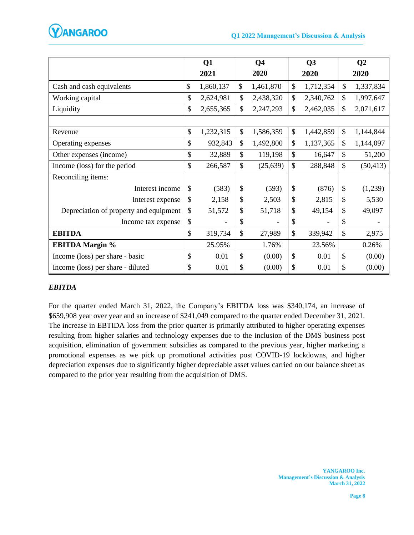

|                                        | Q1<br>2021      |               | Q <sub>4</sub><br>2020   | Q3<br>2020      |               | Q <sub>2</sub><br>2020 |
|----------------------------------------|-----------------|---------------|--------------------------|-----------------|---------------|------------------------|
| Cash and cash equivalents              | \$<br>1,860,137 | \$            | 1,461,870                | \$<br>1,712,354 | \$            | 1,337,834              |
| Working capital                        | \$<br>2,624,981 | \$            | 2,438,320                | \$<br>2,340,762 | \$            | 1,997,647              |
| Liquidity                              | \$<br>2,655,365 | $\mathcal{S}$ | 2,247,293                | \$<br>2,462,035 | $\mathbb{S}$  | 2,071,617              |
|                                        |                 |               |                          |                 |               |                        |
| Revenue                                | \$<br>1,232,315 | \$            | 1,586,359                | \$<br>1,442,859 | \$            | 1,144,844              |
| Operating expenses                     | \$<br>932,843   | $\mathcal{S}$ | 1,492,800                | \$<br>1,137,365 | $\mathsf{\$}$ | 1,144,097              |
| Other expenses (income)                | \$<br>32,889    | $\mathcal{S}$ | 119,198                  | \$<br>16,647    | \$            | 51,200                 |
| Income (loss) for the period           | \$<br>266,587   | $\mathcal{S}$ | (25, 639)                | \$<br>288,848   | \$            | (50, 413)              |
| Reconciling items:                     |                 |               |                          |                 |               |                        |
| Interest income                        | \$<br>(583)     | \$            | (593)                    | \$<br>(876)     | \$            | (1,239)                |
| Interest expense                       | \$<br>2,158     | \$            | 2,503                    | \$<br>2,815     | \$            | 5,530                  |
| Depreciation of property and equipment | \$<br>51,572    | \$            | 51,718                   | \$<br>49,154    | \$            | 49,097                 |
| Income tax expense                     | \$              | \$            | $\overline{\phantom{0}}$ | \$              | \$            |                        |
| <b>EBITDA</b>                          | \$<br>319,734   | \$            | 27,989                   | \$<br>339,942   | \$            | 2,975                  |
| <b>EBITDA Margin %</b>                 | 25.95%          |               | 1.76%                    | 23.56%          |               | 0.26%                  |
| Income (loss) per share - basic        | \$<br>0.01      | \$            | (0.00)                   | \$<br>0.01      | $\mathcal{S}$ | (0.00)                 |
| Income (loss) per share - diluted      | \$<br>0.01      | \$            | (0.00)                   | \$<br>0.01      | \$            | (0.00)                 |

#### *EBITDA*

For the quarter ended March 31, 2022, the Company's EBITDA loss was \$340,174, an increase of \$659,908 year over year and an increase of \$241,049 compared to the quarter ended December 31, 2021. The increase in EBTIDA loss from the prior quarter is primarily attributed to higher operating expenses resulting from higher salaries and technology expenses due to the inclusion of the DMS business post acquisition, elimination of government subsidies as compared to the previous year, higher marketing a promotional expenses as we pick up promotional activities post COVID-19 lockdowns, and higher depreciation expenses due to significantly higher depreciable asset values carried on our balance sheet as compared to the prior year resulting from the acquisition of DMS.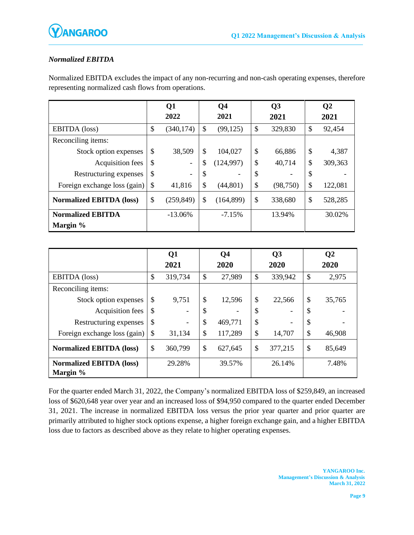

# *Normalized EBITDA*

Normalized EBITDA excludes the impact of any non-recurring and non-cash operating expenses, therefore representing normalized cash flows from operations.

|                                 | Q1               | Q <sub>4</sub>   |                           | Q3        | Q <sub>2</sub> |
|---------------------------------|------------------|------------------|---------------------------|-----------|----------------|
|                                 | 2022             | 2021             |                           | 2021      | 2021           |
| <b>EBITDA</b> (loss)            | \$<br>(340, 174) | \$<br>(99, 125)  | \$                        | 329,830   | \$<br>92,454   |
| Reconciling items:              |                  |                  |                           |           |                |
| Stock option expenses           | \$<br>38,509     | \$<br>104,027    | \$                        | 66,886    | \$<br>4,387    |
| Acquisition fees                | \$<br>-          | \$<br>(124, 997) | \$                        | 40,714    | \$<br>309,363  |
| Restructuring expenses          | \$               | \$               | \$                        |           | \$             |
| Foreign exchange loss (gain)    | \$<br>41,816     | \$<br>(44, 801)  | $\boldsymbol{\mathsf{S}}$ | (98, 750) | \$<br>122,081  |
| <b>Normalized EBITDA (loss)</b> | \$<br>(259, 849) | \$<br>(164, 899) | $\mathcal{S}$             | 338,680   | \$<br>528,285  |
| <b>Normalized EBITDA</b>        | $-13.06\%$       | $-7.15%$         |                           | 13.94%    | 30.02%         |
| Margin %                        |                  |                  |                           |           |                |

|                                             |               | Q1      | Q <sub>4</sub> | Q <sub>3</sub> | $\mathbf{Q}$ |        |
|---------------------------------------------|---------------|---------|----------------|----------------|--------------|--------|
|                                             |               | 2021    | 2020           | 2020           |              | 2020   |
| EBITDA (loss)                               | \$            | 319,734 | \$<br>27,989   | \$<br>339,942  | \$           | 2,975  |
| Reconciling items:                          |               |         |                |                |              |        |
| Stock option expenses                       | \$            | 9,751   | \$<br>12,596   | \$<br>22,566   | \$           | 35,765 |
| Acquisition fees                            | \$            |         | \$             | \$             | \$           |        |
| Restructuring expenses                      | \$            |         | \$<br>469,771  | \$             | \$           |        |
| Foreign exchange loss (gain)                | $\mathcal{S}$ | 31,134  | \$<br>117,289  | \$<br>14,707   | \$           | 46,908 |
| <b>Normalized EBITDA (loss)</b>             | \$            | 360,799 | \$<br>627,645  | \$<br>377,215  | \$           | 85,649 |
| <b>Normalized EBITDA (loss)</b><br>Margin % |               | 29.28%  | 39.57%         | 26.14%         |              | 7.48%  |

For the quarter ended March 31, 2022, the Company's normalized EBITDA loss of \$259,849, an increased loss of \$620,648 year over year and an increased loss of \$94,950 compared to the quarter ended December 31, 2021. The increase in normalized EBITDA loss versus the prior year quarter and prior quarter are primarily attributed to higher stock options expense, a higher foreign exchange gain, and a higher EBITDA loss due to factors as described above as they relate to higher operating expenses.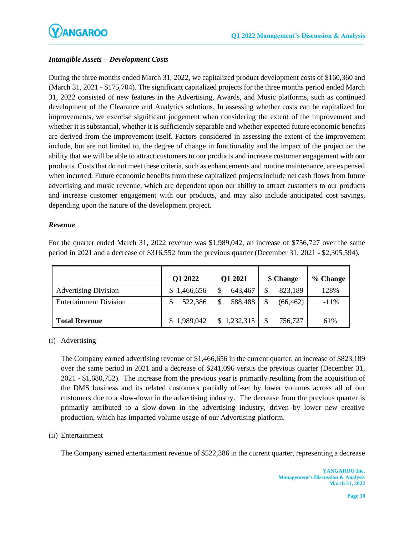# *Intangible Assets – Development Costs*

During the three months ended March 31, 2022, we capitalized product development costs of \$160,360 and (March 31, 2021 - \$175,704). The significant capitalized projects for the three months period ended March 31, 2022 consisted of new features in the Advertising, Awards, and Music platforms, such as continued development of the Clearance and Analytics solutions. In assessing whether costs can be capitalized for improvements, we exercise significant judgement when considering the extent of the improvement and whether it is substantial, whether it is sufficiently separable and whether expected future economic benefits are derived from the improvement itself. Factors considered in assessing the extent of the improvement include, but are not limited to, the degree of change in functionality and the impact of the project on the ability that we will be able to attract customers to our products and increase customer engagement with our products. Costs that do not meet these criteria, such as enhancements and routine maintenance, are expensed when incurred. Future economic benefits from these capitalized projects include net cash flows from future advertising and music revenue, which are dependent upon our ability to attract customers to our products and increase customer engagement with our products, and may also include anticipated cost savings, depending upon the nature of the development project.

#### *Revenue*

For the quarter ended March 31, 2022 revenue was \$1,989,042, an increase of \$756,727 over the same period in 2021 and a decrease of \$316,552 from the previous quarter (December 31, 2021 - \$2,305,594).

|                               | Q1 2022     | Q1 2021        | \$ Change | % Change |
|-------------------------------|-------------|----------------|-----------|----------|
| <b>Advertising Division</b>   | \$1,466,656 | 643,467<br>\$. | 823,189   | 128%     |
| <b>Entertainment Division</b> | 522,386     | 588,488<br>\$. | (66, 462) | $-11\%$  |
| <b>Total Revenue</b>          | \$1,989,042 | \$1,232,315    | 756,727   | 61%      |

## (i) Advertising

The Company earned advertising revenue of \$1,466,656 in the current quarter, an increase of \$823,189 over the same period in 2021 and a decrease of \$241,096 versus the previous quarter (December 31, 2021 - \$1,680,752). The increase from the previous year is primarily resulting from the acquisition of the DMS business and its related customers partially off-set by lower volumes across all of our customers due to a slow-down in the advertising industry. The decrease from the previous quarter is primarily attributed to a slow-down in the advertising industry, driven by lower new creative production, which has impacted volume usage of our Advertising platform.

## (ii) Entertainment

The Company earned entertainment revenue of \$522,386 in the current quarter, representing a decrease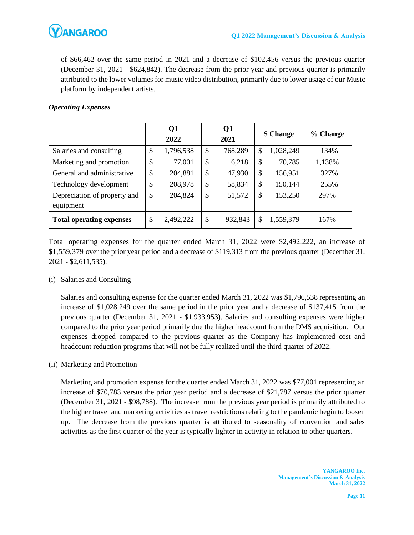of \$66,462 over the same period in 2021 and a decrease of \$102,456 versus the previous quarter (December 31, 2021 - \$624,842). The decrease from the prior year and previous quarter is primarily attributed to the lower volumes for music video distribution, primarily due to lower usage of our Music platform by independent artists.

## *Operating Expenses*

|                                           | Q1<br>2022      | Q1<br>2021    | \$ Change       | % Change |
|-------------------------------------------|-----------------|---------------|-----------------|----------|
| Salaries and consulting                   | \$<br>1,796,538 | \$<br>768,289 | \$<br>1,028,249 | 134%     |
| Marketing and promotion                   | \$<br>77,001    | \$<br>6,218   | \$<br>70,785    | 1,138%   |
| General and administrative                | \$<br>204,881   | \$<br>47,930  | \$<br>156,951   | 327%     |
| Technology development                    | \$<br>208,978   | \$<br>58,834  | \$<br>150,144   | 255%     |
| Depreciation of property and<br>equipment | \$<br>204,824   | \$<br>51,572  | \$<br>153,250   | 297%     |
| <b>Total operating expenses</b>           | \$<br>2,492,222 | \$<br>932,843 | \$<br>1,559,379 | 167%     |

Total operating expenses for the quarter ended March 31, 2022 were \$2,492,222, an increase of \$1,559,379 over the prior year period and a decrease of \$119,313 from the previous quarter (December 31, 2021 - \$2,611,535).

## (i) Salaries and Consulting

Salaries and consulting expense for the quarter ended March 31, 2022 was \$1,796,538 representing an increase of \$1,028,249 over the same period in the prior year and a decrease of \$137,415 from the previous quarter (December 31, 2021 - \$1,933,953). Salaries and consulting expenses were higher compared to the prior year period primarily due the higher headcount from the DMS acquisition. Our expenses dropped compared to the previous quarter as the Company has implemented cost and headcount reduction programs that will not be fully realized until the third quarter of 2022.

#### (ii) Marketing and Promotion

Marketing and promotion expense for the quarter ended March 31, 2022 was \$77,001 representing an increase of \$70,783 versus the prior year period and a decrease of \$21,787 versus the prior quarter (December 31, 2021 - \$98,788). The increase from the previous year period is primarily attributed to the higher travel and marketing activities as travel restrictions relating to the pandemic begin to loosen up. The decrease from the previous quarter is attributed to seasonality of convention and sales activities as the first quarter of the year is typically lighter in activity in relation to other quarters.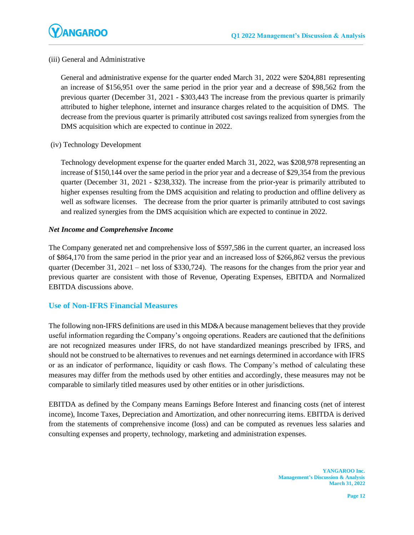

#### (iii) General and Administrative

General and administrative expense for the quarter ended March 31, 2022 were \$204,881 representing an increase of \$156,951 over the same period in the prior year and a decrease of \$98,562 from the previous quarter (December 31, 2021 - \$303,443 The increase from the previous quarter is primarily attributed to higher telephone, internet and insurance charges related to the acquisition of DMS. The decrease from the previous quarter is primarily attributed cost savings realized from synergies from the DMS acquisition which are expected to continue in 2022.

#### (iv) Technology Development

Technology development expense for the quarter ended March 31, 2022, was \$208,978 representing an increase of \$150,144 over the same period in the prior year and a decrease of \$29,354 from the previous quarter (December 31, 2021 - \$238,332). The increase from the prior-year is primarily attributed to higher expenses resulting from the DMS acquisition and relating to production and offline delivery as well as software licenses. The decrease from the prior quarter is primarily attributed to cost savings and realized synergies from the DMS acquisition which are expected to continue in 2022.

#### *Net Income and Comprehensive Income*

The Company generated net and comprehensive loss of \$597,586 in the current quarter, an increased loss of \$864,170 from the same period in the prior year and an increased loss of \$266,862 versus the previous quarter (December 31, 2021 – net loss of \$330,724). The reasons for the changes from the prior year and previous quarter are consistent with those of Revenue, Operating Expenses, EBITDA and Normalized EBITDA discussions above.

## **Use of Non-IFRS Financial Measures**

The following non-IFRS definitions are used in this MD&A because management believes that they provide useful information regarding the Company's ongoing operations. Readers are cautioned that the definitions are not recognized measures under IFRS, do not have standardized meanings prescribed by IFRS, and should not be construed to be alternatives to revenues and net earnings determined in accordance with IFRS or as an indicator of performance, liquidity or cash flows. The Company's method of calculating these measures may differ from the methods used by other entities and accordingly, these measures may not be comparable to similarly titled measures used by other entities or in other jurisdictions.

EBITDA as defined by the Company means Earnings Before Interest and financing costs (net of interest income), Income Taxes, Depreciation and Amortization, and other nonrecurring items. EBITDA is derived from the statements of comprehensive income (loss) and can be computed as revenues less salaries and consulting expenses and property, technology, marketing and administration expenses.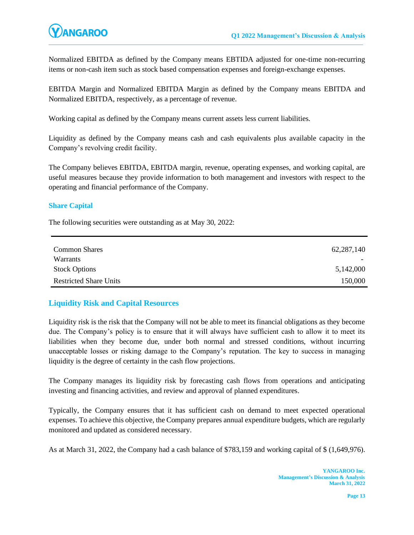Normalized EBITDA as defined by the Company means EBTIDA adjusted for one-time non-recurring items or non-cash item such as stock based compensation expenses and foreign-exchange expenses.

EBITDA Margin and Normalized EBITDA Margin as defined by the Company means EBITDA and Normalized EBITDA, respectively, as a percentage of revenue.

Working capital as defined by the Company means current assets less current liabilities.

Liquidity as defined by the Company means cash and cash equivalents plus available capacity in the Company's revolving credit facility.

The Company believes EBITDA, EBITDA margin, revenue, operating expenses, and working capital, are useful measures because they provide information to both management and investors with respect to the operating and financial performance of the Company.

## **Share Capital**

The following securities were outstanding as at May 30, 2022:

| <b>Common Shares</b>          | 62, 287, 140             |
|-------------------------------|--------------------------|
| Warrants                      | $\overline{\phantom{0}}$ |
| <b>Stock Options</b>          | 5,142,000                |
| <b>Restricted Share Units</b> | 150,000                  |

## **Liquidity Risk and Capital Resources**

Liquidity risk is the risk that the Company will not be able to meet its financial obligations as they become due. The Company's policy is to ensure that it will always have sufficient cash to allow it to meet its liabilities when they become due, under both normal and stressed conditions, without incurring unacceptable losses or risking damage to the Company's reputation. The key to success in managing liquidity is the degree of certainty in the cash flow projections.

The Company manages its liquidity risk by forecasting cash flows from operations and anticipating investing and financing activities, and review and approval of planned expenditures.

Typically, the Company ensures that it has sufficient cash on demand to meet expected operational expenses. To achieve this objective, the Company prepares annual expenditure budgets, which are regularly monitored and updated as considered necessary.

As at March 31, 2022, the Company had a cash balance of \$783,159 and working capital of \$ (1,649,976).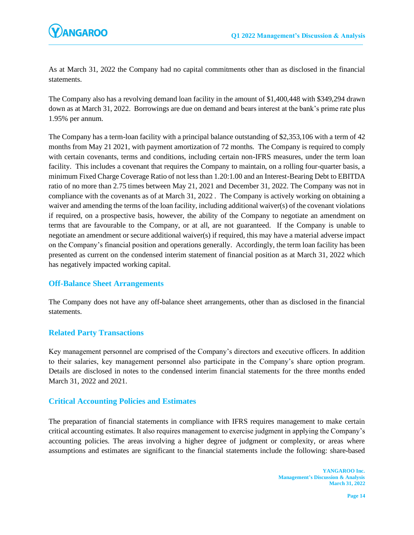

As at March 31, 2022 the Company had no capital commitments other than as disclosed in the financial statements.

The Company also has a revolving demand loan facility in the amount of \$1,400,448 with \$349,294 drawn down as at March 31, 2022. Borrowings are due on demand and bears interest at the bank's prime rate plus 1.95% per annum.

The Company has a term-loan facility with a principal balance outstanding of \$2,353,106 with a term of 42 months from May 21 2021, with payment amortization of 72 months. The Company is required to comply with certain covenants, terms and conditions, including certain non-IFRS measures, under the term loan facility. This includes a covenant that requires the Company to maintain, on a rolling four-quarter basis, a minimum Fixed Charge Coverage Ratio of not less than 1.20:1.00 and an Interest-Bearing Debt to EBITDA ratio of no more than 2.75 times between May 21, 2021 and December 31, 2022. The Company was not in compliance with the covenants as of at March 31, 2022 . The Company is actively working on obtaining a waiver and amending the terms of the loan facility, including additional waiver(s) of the covenant violations if required, on a prospective basis, however, the ability of the Company to negotiate an amendment on terms that are favourable to the Company, or at all, are not guaranteed. If the Company is unable to negotiate an amendment or secure additional waiver(s) if required, this may have a material adverse impact on the Company's financial position and operations generally. Accordingly, the term loan facility has been presented as current on the condensed interim statement of financial position as at March 31, 2022 which has negatively impacted working capital.

## **Off-Balance Sheet Arrangements**

The Company does not have any off**-**balance sheet arrangements, other than as disclosed in the financial statements.

## **Related Party Transactions**

Key management personnel are comprised of the Company's directors and executive officers. In addition to their salaries, key management personnel also participate in the Company's share option program. Details are disclosed in notes to the condensed interim financial statements for the three months ended March 31, 2022 and 2021.

## **Critical Accounting Policies and Estimates**

The preparation of financial statements in compliance with IFRS requires management to make certain critical accounting estimates. It also requires management to exercise judgment in applying the Company's accounting policies. The areas involving a higher degree of judgment or complexity, or areas where assumptions and estimates are significant to the financial statements include the following: share**-**based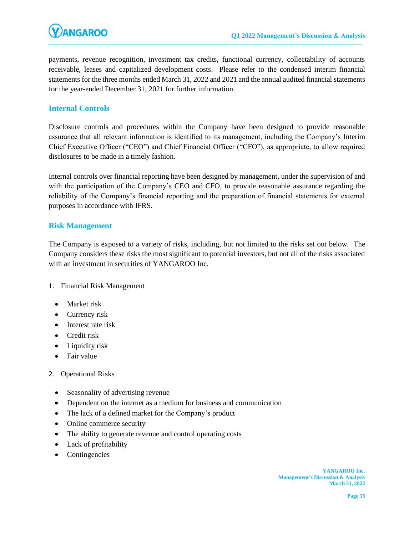payments, revenue recognition, investment tax credits, functional currency, collectability of accounts receivable, leases and capitalized development costs. Please refer to the condensed interim financial statements for the three months ended March 31, 2022 and 2021 and the annual audited financial statements for the year-ended December 31, 2021 for further information.

# **Internal Controls**

Disclosure controls and procedures within the Company have been designed to provide reasonable assurance that all relevant information is identified to its management, including the Company's Interim Chief Executive Officer ("CEO") and Chief Financial Officer ("CFO"), as appropriate, to allow required disclosures to be made in a timely fashion.

Internal controls over financial reporting have been designed by management, under the supervision of and with the participation of the Company's CEO and CFO, to provide reasonable assurance regarding the reliability of the Company's financial reporting and the preparation of financial statements for external purposes in accordance with IFRS.

## **Risk Management**

The Company is exposed to a variety of risks, including, but not limited to the risks set out below. The Company considers these risks the most significant to potential investors, but not all of the risks associated with an investment in securities of YANGAROO Inc.

- 1. Financial Risk Management
	- Market risk
	- Currency risk
	- Interest rate risk
	- Credit risk
	- Liquidity risk
	- Fair value
- 2. Operational Risks
	- Seasonality of advertising revenue
	- Dependent on the internet as a medium for business and communication
	- The lack of a defined market for the Company's product
	- Online commerce security
	- The ability to generate revenue and control operating costs
	- Lack of profitability
	- **Contingencies**

**YANGAROO Inc. Management's Discussion & Analysis March 31, 2022**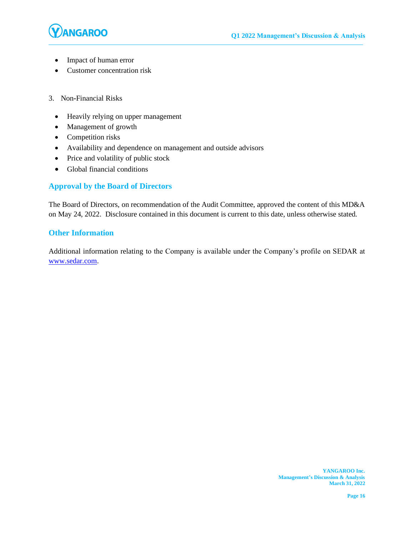

- Impact of human error
- Customer concentration risk
- 3. Non**-**Financial Risks
	- Heavily relying on upper management
	- Management of growth
	- Competition risks
	- Availability and dependence on management and outside advisors
	- Price and volatility of public stock
	- Global financial conditions

## **Approval by the Board of Directors**

The Board of Directors, on recommendation of the Audit Committee, approved the content of this MD&A on May 24, 2022. Disclosure contained in this document is current to this date, unless otherwise stated.

## **Other Information**

Additional information relating to the Company is available under the Company's profile on SEDAR at [www.sedar.com.](http://www.sedar.com/)